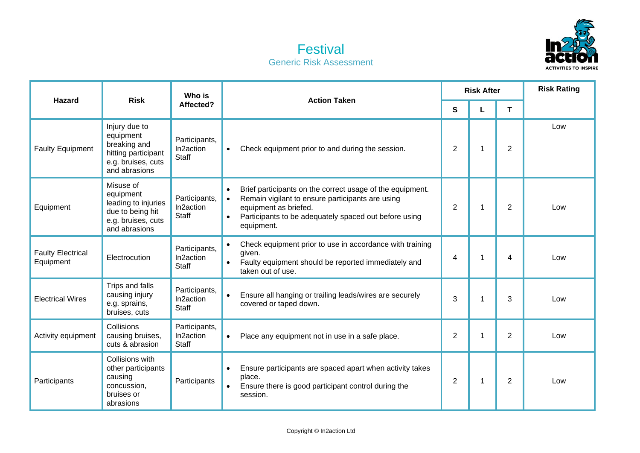

## **Festival** Generic Risk Assessment

| <b>Hazard</b>                         | <b>Risk</b>                                                                                              | Who is<br>Affected?                        | <b>Action Taken</b>                                                                                                                                                                                                                                  | <b>Risk After</b> |   |                | <b>Risk Rating</b> |
|---------------------------------------|----------------------------------------------------------------------------------------------------------|--------------------------------------------|------------------------------------------------------------------------------------------------------------------------------------------------------------------------------------------------------------------------------------------------------|-------------------|---|----------------|--------------------|
|                                       |                                                                                                          |                                            |                                                                                                                                                                                                                                                      | $\mathbf{s}$      |   | T              |                    |
| <b>Faulty Equipment</b>               | Injury due to<br>equipment<br>breaking and<br>hitting participant<br>e.g. bruises, cuts<br>and abrasions | Participants,<br>In2action<br><b>Staff</b> | Check equipment prior to and during the session.<br>$\bullet$                                                                                                                                                                                        | $\overline{2}$    | 1 | $\overline{2}$ | Low                |
| Equipment                             | Misuse of<br>equipment<br>leading to injuries<br>due to being hit<br>e.g. bruises, cuts<br>and abrasions | Participants,<br>In2action<br><b>Staff</b> | Brief participants on the correct usage of the equipment.<br>$\bullet$<br>Remain vigilant to ensure participants are using<br>$\bullet$<br>equipment as briefed.<br>Participants to be adequately spaced out before using<br>$\bullet$<br>equipment. | $\overline{2}$    |   | $\overline{2}$ | Low                |
| <b>Faulty Electrical</b><br>Equipment | Electrocution                                                                                            | Participants,<br>In2action<br><b>Staff</b> | Check equipment prior to use in accordance with training<br>given.<br>Faulty equipment should be reported immediately and<br>$\bullet$<br>taken out of use.                                                                                          | 4                 | 1 | 4              | Low                |
| <b>Electrical Wires</b>               | Trips and falls<br>causing injury<br>e.g. sprains,<br>bruises, cuts                                      | Participants,<br>In2action<br>Staff        | Ensure all hanging or trailing leads/wires are securely<br>$\bullet$<br>covered or taped down.                                                                                                                                                       | 3                 |   | 3              | Low                |
| Activity equipment                    | Collisions<br>causing bruises,<br>cuts & abrasion                                                        | Participants,<br>In2action<br><b>Staff</b> | Place any equipment not in use in a safe place.<br>$\bullet$                                                                                                                                                                                         | $\overline{2}$    | 1 | 2              | Low                |
| Participants                          | Collisions with<br>other participants<br>causing<br>concussion,<br>bruises or<br>abrasions               | Participants                               | Ensure participants are spaced apart when activity takes<br>$\bullet$<br>place.<br>Ensure there is good participant control during the<br>$\bullet$<br>session.                                                                                      | 2                 | 1 | $\overline{2}$ | Low                |